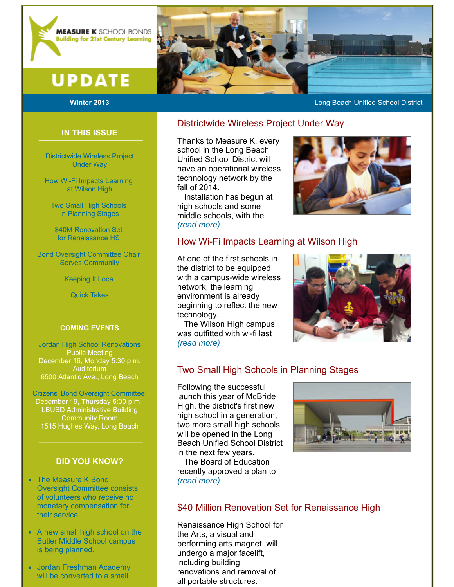

# **UPDATE**

#### **Winter 2013 Long Beach Unified School District** And The Congress of the Long Beach Unified School District

### Districtwide Wireless Project Under Way

Thanks to Measure K, every school in the Long Beach Unified School District will have an operational wireless technology network by the fall of 2014.

 Installation has begun at high schools and some middle schools, with the (read more)

## How Wi-Fi Impacts Learning at Wilson High

At one of the first schools in the district to be equipped with a campus-wide wireless network, the learning environment is already beginning to reflect the new technology.

 The Wilson High campus was outfitted with wi-fi last (read more)



# Two Small High Schools in Planning Stages

Following the successful launch this year of McBride High, the district's first new high school in a generation, two more small high schools will be opened in the Long Beach Unified School District in the next few years.

 The Board of Education recently approved a plan to (read more)

### \$40 Million Renovation Set for Renaissance High

Renaissance High School for the Arts, a visual and performing arts magnet, will undergo a major facelift, including building renovations and removal of all portable structures.

Jordan Freshman Academy will be converted to a small

# IN THIS ISSUE

Districtwide Wireless Project Under Way

How Wi-Fi Impacts Learning at Wilson High

Two Small High Schools in Planning Stages

\$40M Renovation Set for Renaissance HS

Bond Oversight Committee Chair Serves Community

Keeping It Local

Quick Takes

#### COMING EVENTS

 $\mathcal{L}_\text{max}$  , and the set of the set of the set of the set of the set of the set of the set of the set of the set of the set of the set of the set of the set of the set of the set of the set of the set of the set of the

Jordan High School Renovations Public Meeting December 16, Monday 5:30 p.m. Auditorium 6500 Atlantic Ave., Long Beach

Citizens' Bond Oversight Committee December 19, Thursday 5:00 p.m. LBUSD Administrative Building Community Room 1515 Hughes Way, Long Beach

### DID YOU KNOW?

- The Measure K Bond Oversight Committee consists of volunteers who receive no monetary compensation for their service.
- A new small high school on the Butler Middle School campus is being planned.
-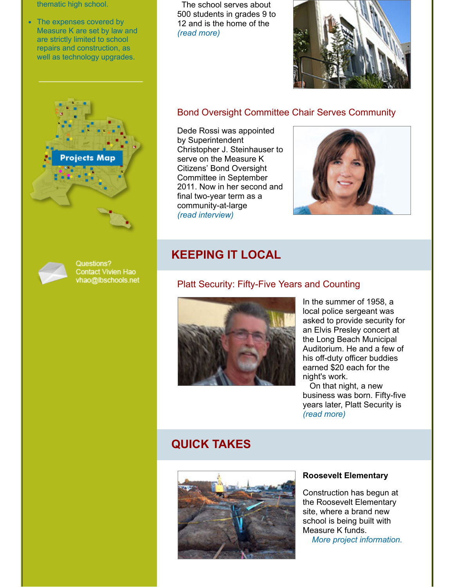thematic high school.

The expenses covered by Measure K are set by law and are strictly limited to school repairs and construction, as well as technology upgrades.





Questions? Contact Vivien Hao vhao@lbschools.net

 The school serves about 500 students in grades 9 to 12 and is the home of the (read more)



#### Bond Oversight Committee Chair Serves Community

Dede Rossi was appointed by Superintendent Christopher J. Steinhauser to serve on the Measure K Citizens' Bond Oversight Committee in September 2011. Now in her second and final two-year term as a community-at-large (read interview)



# KEEPING IT LOCAL

## Platt Security: Fifty-Five Years and Counting



In the summer of 1958, a local police sergeant was asked to provide security for an Elvis Presley concert at the Long Beach Municipal Auditorium. He and a few of his off-duty officer buddies earned \$20 each for the night's work.

 On that night, a new business was born. Fifty-five years later, Platt Security is (read more)

# QUICK TAKES



#### Roosevelt Elementary

Construction has begun at the Roosevelt Elementary site, where a brand new school is being built with Measure K funds. More project information.